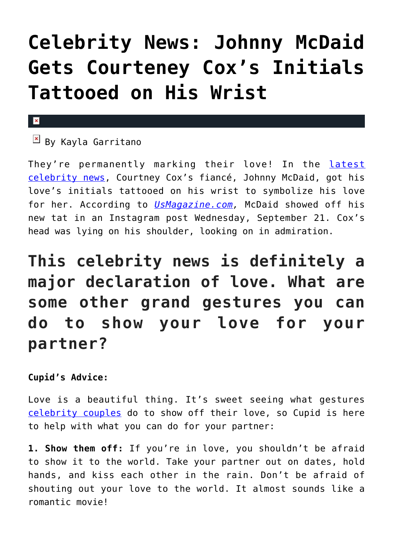# **[Celebrity News: Johnny McDaid](https://cupidspulse.com/114833/celebrity-news-johnny-mcdaid-gets-courteney-cox-initials-tattooed/) [Gets Courteney Cox's Initials](https://cupidspulse.com/114833/celebrity-news-johnny-mcdaid-gets-courteney-cox-initials-tattooed/) [Tattooed on His Wrist](https://cupidspulse.com/114833/celebrity-news-johnny-mcdaid-gets-courteney-cox-initials-tattooed/)**

#### $\mathbf x$

 $\boxed{\times}$  By Kayla Garritano

They're permanently marking their love! In the [latest](http://cupidspulse.com/celebrity-news/) [celebrity news](http://cupidspulse.com/celebrity-news/), Courtney Cox's fiancé, Johnny McDaid, got his love's initials tattooed on his wrist to symbolize his love for her. According to *[UsMagazine.com](http://www.usmagazine.com/celebrity-news/news/courteney-coxs-fiance-johnny-mcdaid-gets-her-initials-tattooed-w441622),* McDaid showed off his new tat in an Instagram post Wednesday, September 21. Cox's head was lying on his shoulder, looking on in admiration.

**This celebrity news is definitely a major declaration of love. What are some other grand gestures you can do to show your love for your partner?**

### **Cupid's Advice:**

Love is a beautiful thing. It's sweet seeing what gestures [celebrity couples](http://cupidspulse.com/celebrity-news/celebrity-dating/) do to show off their love, so Cupid is here to help with what you can do for your partner:

**1. Show them off:** If you're in love, you shouldn't be afraid to show it to the world. Take your partner out on dates, hold hands, and kiss each other in the rain. Don't be afraid of shouting out your love to the world. It almost sounds like a romantic movie!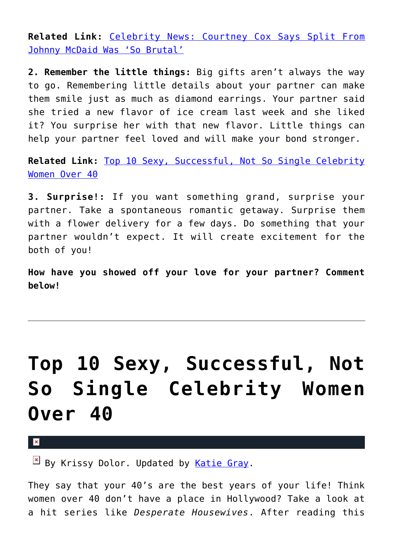**Related Link:** [Celebrity News: Courtney Cox Says Split From](http://cupidspulse.com/113882/celebrity-news-courteney-cox-says-split-johnny-mcdaid-so-brutal/) [Johnny McDaid Was 'So Brutal'](http://cupidspulse.com/113882/celebrity-news-courteney-cox-says-split-johnny-mcdaid-so-brutal/)

**2. Remember the little things:** Big gifts aren't always the way to go. Remembering little details about your partner can make them smile just as much as diamond earrings. Your partner said she tried a new flavor of ice cream last week and she liked it? You surprise her with that new flavor. Little things can help your partner feel loved and will make your bond stronger.

**Related Link:** [Top 10 Sexy, Successful, Not So Single Celebrity](http://cupidspulse.com/111006/sexy-successful-single-celebrity-women-over-40-2/) [Women Over 40](http://cupidspulse.com/111006/sexy-successful-single-celebrity-women-over-40-2/)

**3. Surprise!:** If you want something grand, surprise your partner. Take a spontaneous romantic getaway. Surprise them with a flower delivery for a few days. Do something that your partner wouldn't expect. It will create excitement for the both of you!

**How have you showed off your love for your partner? Comment below!**

# **[Top 10 Sexy, Successful, Not](https://cupidspulse.com/111006/sexy-successful-single-celebrity-women-over-40-2/) [So Single Celebrity Women](https://cupidspulse.com/111006/sexy-successful-single-celebrity-women-over-40-2/) [Over 40](https://cupidspulse.com/111006/sexy-successful-single-celebrity-women-over-40-2/)**

×

 $\overline{B}$  By Krissy Dolor. Updated by [Katie Gray.](http://cupidspulse.com/105088/katie-gray/)

They say that your 40's are the best years of your life! Think women over 40 don't have a place in Hollywood? Take a look at a hit series like *Desperate Housewives*. After reading this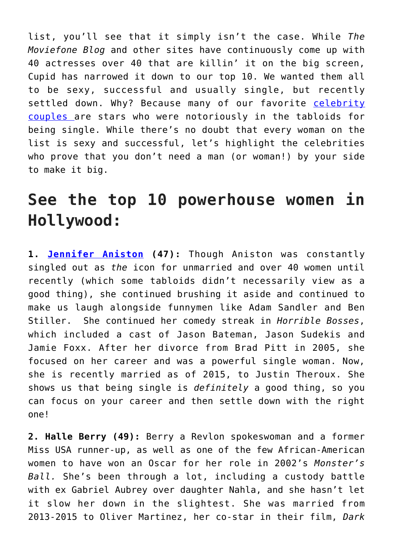list, you'll see that it simply isn't the case. While *The Moviefone Blog* and other sites have continuously come up with 40 actresses over 40 that are killin' it on the big screen, Cupid has narrowed it down to our top 10. We wanted them all to be sexy, successful and usually single, but recently settled down. Why? Because many of our favorite [celebrity](http://cupidspulse.com/celebrity-relationships/long-term-relationships-flings/) [couples a](http://cupidspulse.com/celebrity-relationships/long-term-relationships-flings/)re stars who were notoriously in the tabloids for being single. While there's no doubt that every woman on the list is sexy and successful, let's highlight the celebrities who prove that you don't need a man (or woman!) by your side to make it big.

### **See the top 10 powerhouse women in Hollywood:**

**1. [Jennifer Aniston](http://cupidspulse.com/86079/jennifer-aniston/) (47):** Though Aniston was constantly singled out as *the* icon for unmarried and over 40 women until recently (which some tabloids didn't necessarily view as a good thing), she continued brushing it aside and continued to make us laugh alongside funnymen like Adam Sandler and Ben Stiller. She continued her comedy streak in *Horrible Bosses*, which included a cast of Jason Bateman, Jason Sudekis and Jamie Foxx. After her divorce from Brad Pitt in 2005, she focused on her career and was a powerful single woman. Now, she is recently married as of 2015, to Justin Theroux. She shows us that being single is *definitely* a good thing, so you can focus on your career and then settle down with the right one!

**2. Halle Berry (49):** Berry a Revlon spokeswoman and a former Miss USA runner-up, as well as one of the few African-American women to have won an Oscar for her role in 2002's *Monster's Ball.* She's been through a lot, including a custody battle with ex Gabriel Aubrey over daughter Nahla, and she hasn't let it slow her down in the slightest. She was married from 2013-2015 to Oliver Martinez, her co-star in their film, *Dark*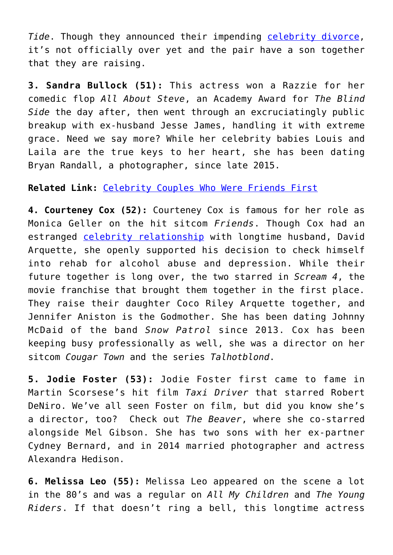*Tide*. Though they announced their impending [celebrity divorce,](http://cupidspulse.com/celebrity-relationships/break-up-divorce/) it's not officially over yet and the pair have a son together that they are raising.

**3. Sandra Bullock (51):** This actress won a Razzie for her comedic flop *All About Steve*, an Academy Award for *The Blind Side* the day after, then went through an excruciatingly public breakup with ex-husband Jesse James, handling it with extreme grace. Need we say more? While her celebrity babies Louis and Laila are the true keys to her heart, she has been dating Bryan Randall, a photographer, since late 2015.

**Related Link:** [Celebrity Couples Who Were Friends First](http://cupidspulse.com/108877/celebrity-couples-friends-first/)

**4. Courteney Cox (52):** Courteney Cox is famous for her role as Monica Geller on the hit sitcom *Friends*. Though Cox had an estranged [celebrity relationship](http://cupidspulse.com/celebrity-relationships/) with longtime husband, David Arquette, she openly supported his decision to check himself into rehab for alcohol abuse and depression. While their future together is long over, the two starred in *Scream 4*, the movie franchise that brought them together in the first place. They raise their daughter Coco Riley Arquette together, and Jennifer Aniston is the Godmother. She has been dating Johnny McDaid of the band *Snow Patrol* since 2013. Cox has been keeping busy professionally as well, she was a director on her sitcom *Cougar Town* and the series *Talhotblond*.

**5. Jodie Foster (53):** Jodie Foster first came to fame in Martin Scorsese's hit film *Taxi Driver* that starred Robert DeNiro. We've all seen Foster on film, but did you know she's a director, too? Check out *The Beaver*, where she co-starred alongside Mel Gibson. She has two sons with her ex-partner Cydney Bernard, and in 2014 married photographer and actress Alexandra Hedison.

**6. Melissa Leo (55):** Melissa Leo appeared on the scene a lot in the 80's and was a regular on *All My Children* and *The Young Riders*. If that doesn't ring a bell, this longtime actress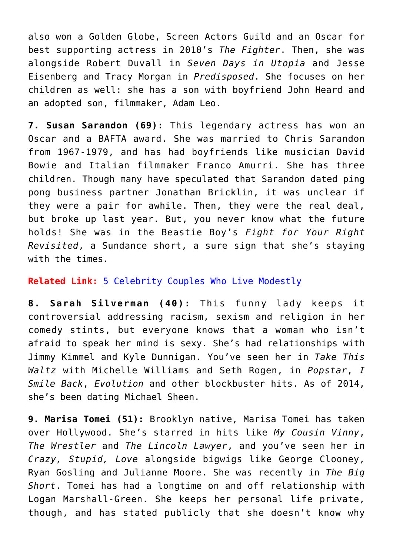also won a Golden Globe, Screen Actors Guild and an Oscar for best supporting actress in 2010's *The Fighter*. Then, she was alongside Robert Duvall in *Seven Days in Utopia* and Jesse Eisenberg and Tracy Morgan in *Predisposed*. She focuses on her children as well: she has a son with boyfriend John Heard and an adopted son, filmmaker, Adam Leo.

**7. Susan Sarandon (69):** This legendary actress has won an Oscar and a BAFTA award. She was married to Chris Sarandon from 1967-1979, and has had boyfriends like musician David Bowie and Italian filmmaker Franco Amurri. She has three children. Though many have speculated that Sarandon dated ping pong business partner Jonathan Bricklin, it was unclear if they were a pair for awhile. Then, they were the real deal, but broke up last year. But, you never know what the future holds! She was in the Beastie Boy's *Fight for Your Right Revisited*, a Sundance short, a sure sign that she's staying with the times.

#### **Related Link:** [5 Celebrity Couples Who Live Modestly](http://cupidspulse.com/108428/celebrity-couples-live-modestly/)

**8. Sarah Silverman (40):** This funny lady keeps it controversial addressing racism, sexism and religion in her comedy stints, but everyone knows that a woman who isn't afraid to speak her mind is sexy. She's had relationships with Jimmy Kimmel and Kyle Dunnigan. You've seen her in *Take This Waltz* with Michelle Williams and Seth Rogen, in *Popstar*, *I Smile Back*, *Evolution* and other blockbuster hits. As of 2014, she's been dating Michael Sheen.

**9. Marisa Tomei (51):** Brooklyn native, Marisa Tomei has taken over Hollywood. She's starred in hits like *My Cousin Vinny*, *The Wrestler* and *The Lincoln Lawyer*, and you've seen her in *Crazy, Stupid, Love* alongside bigwigs like George Clooney, Ryan Gosling and Julianne Moore. She was recently in *The Big Short*. Tomei has had a longtime on and off relationship with Logan Marshall-Green. She keeps her personal life private, though, and has stated publicly that she doesn't know why